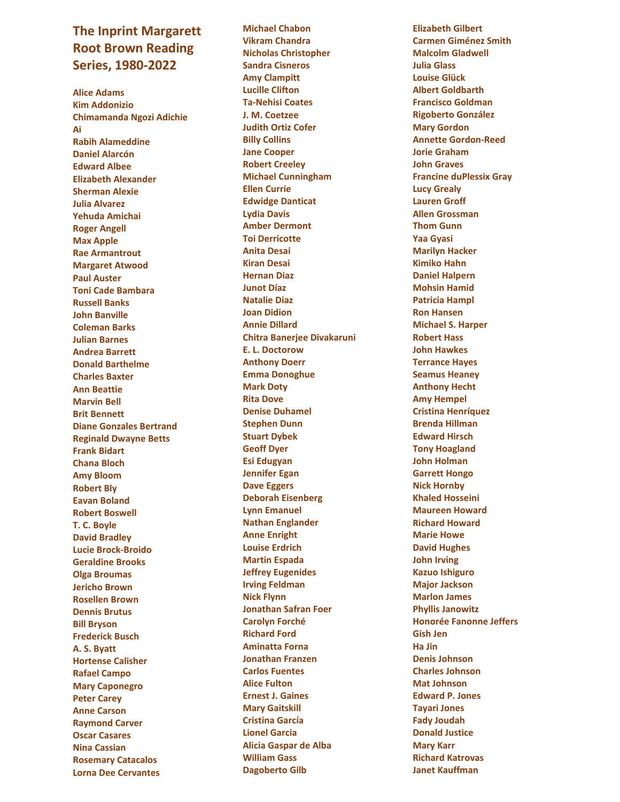## **The Inprint Margarett Root Brown Reading Series, 1980 -20 2 2**

**Alice Adams Kim Addonizio Chimamanda Ngozi Adichie Ai Rabih Alameddine Daniel Alarcó n Edward Albee Elizabeth Alexander Sherman Alexie Julia Alvarez Yehuda Amichai Roger Angell Max Apple Rae Armantrout Margaret Atwood Paul Auster Toni Cade Bambara Russell Banks John Banville Coleman Barks Julian Barnes Andrea Barrett Donald Barthelme Charles Baxter Ann Beattie Marvin Bell Brit Bennett Diane Gonzales Bertrand Reginald Dwayne Betts Frank Bidart Chana Bloch Amy Bloom Robert Bly Eavan Boland Robert Boswell T. C. Boyle David Bradley Lucie Brock -Broido Geraldine Brooks Olga Broumas Jericho Brown Rosellen Brown Dennis Brutus Bill Bryson Frederick Busch A. S. Byatt Hortense Calisher Rafael Campo Mary Caponegro Peter Carey Anne Carson Raymond Carver Oscar Casares Nina Cassian Rosemary Catacalos Lorna Dee Cervantes**

**Michael Chabon Vikram Chandra Nicholas Christopher Sandra Cisneros Amy Clampitt Lucille Clifton Ta -Nehisi Coates J. M. Coetzee Judith Ortiz Cofer Billy Collins Jane Cooper Robert Creeley Michael Cunningham Ellen Currie Edwidge Danticat Lydia Davis Amber Dermont Toi Derricotte Anita Desai Kiran Desai Hernan Diaz Junot D íaz Natalie Diaz Joan Didion Annie Dillard Chitra Banerjee Divakaruni E. L. Doctorow Anthony Doerr Emma Donoghue Mark Doty Rita Dove Denise Duhamel Stephen Dunn Stuart Dybek Geoff Dyer Esi Edugyan Jennifer Egan Dave Eggers Deborah Eisenberg Lynn Emanuel Nathan Englander Anne Enright Louise Erdrich Martin Espada Jeffrey Eugenides Irving Feldman Nick Flynn Jonathan Safran Foer Carolyn Forché Richard Ford Aminatta Forna Jonathan Franzen Carlos Fuentes Alice Fulton Ernest J. Gaines Mary Gaitskill Cristina García Lionel Garcia Alicia Gaspar de Alba William Gass Dagoberto Gilb**

**Elizabeth Gilbert Carmen Giménez Smith Malcolm Gladwell Julia Glass Louise Glück Albert Goldbarth Francisco Goldman Rigoberto González Mary Gordon Annette Gordon -Reed Jorie Graham John Graves Francine duPlessix Gray Lucy Grealy Lauren Groff Allen Grossman Thom Gunn Yaa Gyasi Marilyn Hacker Kimiko Hahn Daniel Halpern Mohsin Hamid Patricia Hampl Ron Hansen Michael S. Harper Robert Hass John Hawkes Terrance Haye s Seamus Heaney Anthony Hecht Amy Hempel Cristina Henríquez Brenda Hillman Edward Hirsch Tony Hoagland John Holman Garrett Hongo Nick Hornby Khaled Hosseini Maureen Howard Richard Howard Marie Howe David Hughes John Irving Kazuo Ishiguro Major Jackson Marlon James Phyllis Janowitz Honorée Fanonne Jeffers Gish Jen Ha Jin Denis Johnson Charles Johnson Mat Johnson Edward P. Jones Tayari Jones Fady Joudah Donald Justice Mary Karr Richard Katrovas Janet Kauffman**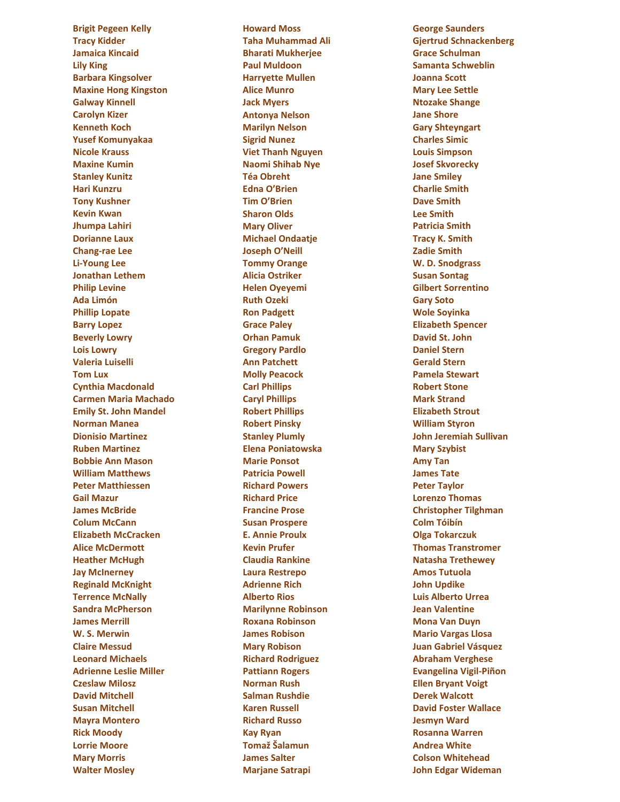**Brigit Pegeen Kelly Tracy Kidder Jamaica Kincaid Lily King Barbara Kingsolver Maxine Hong Kingston Galway Kinnell Carolyn Kizer Kenneth Koch Yusef Komunyakaa Nicole Krauss Maxine Kumin Stanley Kunitz Hari Kunzru Tony Kushner Kevin Kwan Jhumpa Lahiri Dorianne Laux Chang -rae Lee Li - Young Lee Jonathan Lethem Philip Levine Ada Limón Phillip Lopate Barry Lopez Beverly Lowry Lois Lowry Valeria Luiselli Tom Lux Cynthia Macdonald Carmen Maria Machado Emily St. John Mandel Norman Manea Dionisio Martinez Ruben Martinez Bobbie Ann Mason William Matthews Peter Matthiessen Gail Mazur James McBride Colum McCann Elizabeth McCracken Alice McDermott Heather McHugh Jay McInerney Reginald McKnight Terrence McNally Sandra McPherson James Merrill W. S. Merwi n Claire Messud Leonard Michaels Adrienne Leslie Miller Czeslaw Milosz David Mitchell Susan Mitchell Mayra Montero Rick Moody Lorrie Moore Mary Morris Walter Mosley**

**Howard Moss Taha Muhammad Ali Bharati Mukherjee Paul Muldoon Harryette Mullen Alice Munro Jack Myers Antonya Nelson Marilyn Nelson Sigrid Nunez Viet Thanh Nguyen Naomi Shihab Nye Téa Obreht Edna O'Brien Tim O'Brien Sharon Olds Mary Oliver Michael Ondaatje Joseph O'Neill Tommy Orange Alicia Ostriker Helen Oyeyemi Ruth Ozeki Ron Padget t Grace Paley Orhan Pamuk Gregory Pardlo Ann Patchett Molly Peacock Carl Phillips Caryl Phillips Robert Phillips Robert Pinsky Stanley Plumly Elena Poniatowska Marie Ponsot Patricia Powell Richard Powers Richard Price Francine Prose Susan Prospere E. Annie Proulx Kevin Prufer Claudia Rankine Laura Restrepo Adrienne Rich Alberto Rios Marilynne Robinson Roxana Robinson James Robison Mary Robison Richard Rodriguez Pattiann Rogers Norman Rush Salman Rushdie Karen Russell Richard Russo Kay Ryan Tomaž Šalamun James Salter Marjane Satrapi**

**George Saunders Gjertrud Schnackenberg Grace Schulman Samanta Schweblin Joanna Scott Mary Lee Settle Ntozake Shange Jane Shore Gary Shteyngart Charles Simic Louis Simpso n Josef Skvorecky Jane Smiley Charlie Smith Dave Smith Lee Smith Patricia Smith Tracy K. Smith Zadie Smith W. D. Snodgrass Susan Sontag Gilbert Sorrentino Gary Soto Wole Soyinka Elizabeth Spencer David St. John Daniel Stern Gerald Stern Pamela Stewart Robert Stone Mark Strand Elizabeth Strout William Styron John Jeremiah Sullivan Mary Szybist Amy Tan James Tate Peter Taylor Lorenzo Thomas Christopher Tilghman Colm Tóibín Olga Tokarczuk Thomas Transtromer Natasha Trethewey Amos Tutuola John Updike Luis Alberto Urrea Jean Valentine Mona Van Duyn Mario Vargas Llosa Juan Gabriel Vá squez Abraham Verghese Evangelina Vigil -Piñon Ellen Bryant Voigt Derek Walcott David Foster Wallace Jesmyn Ward Rosanna Warren Andrea White Colson Whitehead John Edgar Wideman**